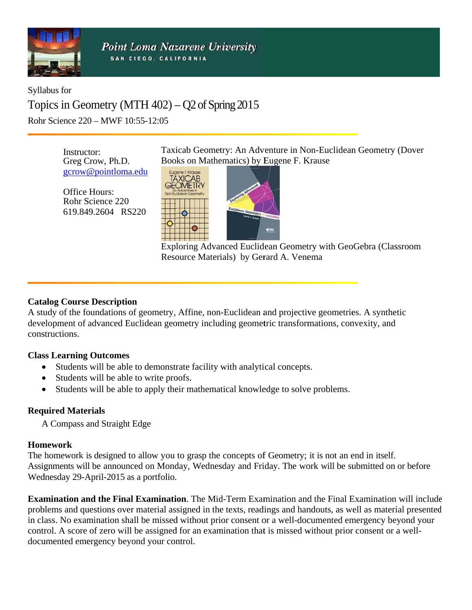

**Point Loma Nazarene University** SAN DIEGO, CALIFORNIA

Syllabus for Topics in Geometry (MTH  $402$ ) – Q2 of Spring 2015 Rohr Science 220 - MWF 10:55-12:05

> Instructor: Greg Crow, Ph.D. gcrow@pointloma.edu

Office Hours: Rohr Science 220 619.849.2604 RS220 Taxicab Geometry: An Adventure in Non-Euclidean Geometry (Dover Books on Mathematics) by Eugene F. Krause



Exploring Advanced Euclidean Geometry with GeoGebra (Classroom Resource Materials) by Gerard A. Venema

#### **Catalog Course Description**

A study of the foundations of geometry, Affine, non-Euclidean and projective geometries. A synthetic development of advanced Euclidean geometry including geometric transformations, convexity, and constructions.

#### **Class Learning Outcomes**

- Students will be able to demonstrate facility with analytical concepts.
- Students will be able to write proofs.
- Students will be able to apply their mathematical knowledge to solve problems.

## **Required Materials**

A Compass and Straight Edge

#### **Homework**

The homework is designed to allow you to grasp the concepts of Geometry; it is not an end in itself. Assignments will be announced on Monday, Wednesday and Friday. The work will be submitted on or before Wednesday 29-April-2015 as a portfolio.

Examination and the Final Examination. The Mid-Term Examination and the Final Examination will include problems and questions over material assigned in the texts, readings and handouts, as well as material presented in class. No examination shall be missed without prior consent or a well-documented emergency beyond your control. A score of zero will be assigned for an examination that is missed without prior consent or a welldocumented emergency beyond your control.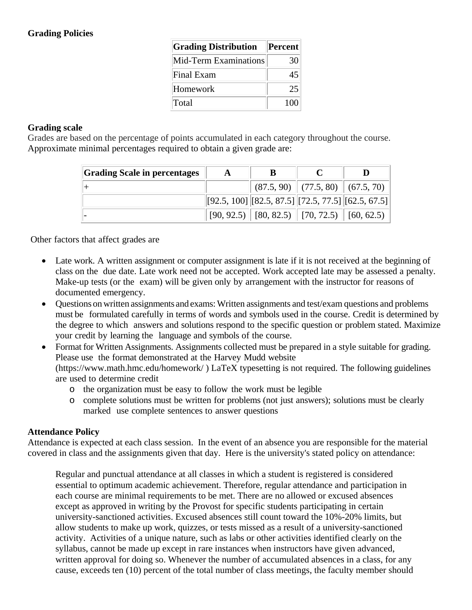# **Grading Policies**

| <b>Grading Distribution</b>  | <b>Percent</b> |
|------------------------------|----------------|
| <b>Mid-Term Examinations</b> | 30             |
| Final Exam                   | 45             |
| Homework                     | 25             |
| Total                        | 100            |

#### **Grading scale**

Grades are based on the percentage of points accumulated in each category throughout the course. Approximate minimal percentages required to obtain a given grade are:

| <b>Grading Scale in percentages</b> | A | В                                                                          |                                        |  |
|-------------------------------------|---|----------------------------------------------------------------------------|----------------------------------------|--|
|                                     |   |                                                                            | $(87.5, 90)$ $(77.5, 80)$ $(67.5, 70)$ |  |
|                                     |   | $[[92.5, 100] \times [82.5, 87.5] \times [72.5, 77.5] \times [62.5, 67.5]$ |                                        |  |
|                                     |   | $[90, 92.5)$ [80, 82.5) [70, 72.5) [60, 62.5)                              |                                        |  |

Other factors that affect grades are

- Late work. A written assignment or computer assignment is late if it is not received at the beginning of class on the due date. Late work need not be accepted. Work accepted late may be assessed a penalty. Make-up tests (or the exam) will be given only by arrangement with the instructor for reasons of documented emergency.
- Questions on written assignments and exams: Written assignments and test/exam questions and problems must be formulated carefully in terms of words and symbols used in the course. Credit is determined by the degree to which answers and solutions respond to the specific question or problem stated. Maximize your credit by learning the language and symbols of the course.
- Format for Written Assignments. Assignments collected must be prepared in a style suitable for grading. Please use the format demonstrated at the Harvey Mudd website (https://www.math.hmc.edu/homework/ ) LaTeX typesetting is not required. The following guidelines are used to determine credit
	- o the organization must be easy to follow the work must be legible
	- o complete solutions must be written for problems (not just answers); solutions must be clearly marked use complete sentences to answer questions

## **Attendance Policy**

Attendance is expected at each class session. In the event of an absence you are responsible for the material covered in class and the assignments given that day. Here is the university's stated policy on attendance:

Regular and punctual attendance at all classes in which a student is registered is considered essential to optimum academic achievement. Therefore, regular attendance and participation in each course are minimal requirements to be met. There are no allowed or excused absences except as approved in writing by the Provost for specific students participating in certain university-sanctioned activities. Excused absences still count toward the 10%-20% limits, but allow students to make up work, quizzes, or tests missed as a result of a university-sanctioned activity. Activities of a unique nature, such as labs or other activities identified clearly on the syllabus, cannot be made up except in rare instances when instructors have given advanced, written approval for doing so. Whenever the number of accumulated absences in a class, for any cause, exceeds ten (10) percent of the total number of class meetings, the faculty member should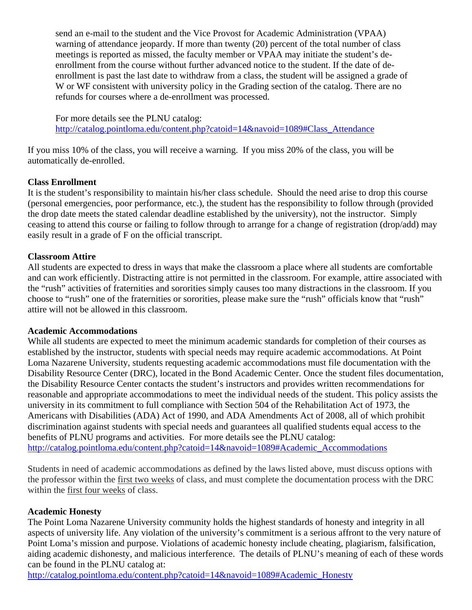send an e-mail to the student and the Vice Provost for Academic Administration (VPAA) warning of attendance jeopardy. If more than twenty (20) percent of the total number of class meetings is reported as missed, the faculty member or VPAA may initiate the student's deenrollment from the course without further advanced notice to the student. If the date of deenrollment is past the last date to withdraw from a class, the student will be assigned a grade of W or WF consistent with university policy in the Grading section of the catalog. There are no refunds for courses where a de-enrollment was processed.

For more details see the PLNU catalog: http://catalog.pointloma.edu/content.php?catoid=14&navoid=1089#Class\_Attendance

If you miss 10% of the class, you will receive a warning. If you miss 20% of the class, you will be automatically de-enrolled.

## **Class Enrollment**

It is the student's responsibility to maintain his/her class schedule. Should the need arise to drop this course (personal emergencies, poor performance, etc.), the student has the responsibility to follow through (provided the drop date meets the stated calendar deadline established by the university), not the instructor. Simply ceasing to attend this course or failing to follow through to arrange for a change of registration (drop/add) may easily result in a grade of F on the official transcript.

## **Classroom Attire**

All students are expected to dress in ways that make the classroom a place where all students are comfortable and can work efficiently. Distracting attire is not permitted in the classroom. For example, attire associated with the "rush" activities of fraternities and sororities simply causes too many distractions in the classroom. If you choose to "rush" one of the fraternities or sororities, please make sure the "rush" officials know that "rush" attire will not be allowed in this classroom.

## **Academic Accommodations**

While all students are expected to meet the minimum academic standards for completion of their courses as established by the instructor, students with special needs may require academic accommodations. At Point Loma Nazarene University, students requesting academic accommodations must file documentation with the Disability Resource Center (DRC), located in the Bond Academic Center. Once the student files documentation, the Disability Resource Center contacts the student's instructors and provides written recommendations for reasonable and appropriate accommodations to meet the individual needs of the student. This policy assists the university in its commitment to full compliance with Section 504 of the Rehabilitation Act of 1973, the Americans with Disabilities (ADA) Act of 1990, and ADA Amendments Act of 2008, all of which prohibit discrimination against students with special needs and guarantees all qualified students equal access to the benefits of PLNU programs and activities. For more details see the PLNU catalog: http://catalog.pointloma.edu/content.php?catoid=14&navoid=1089#Academic\_Accommodations

Students in need of academic accommodations as defined by the laws listed above, must discuss options with the professor within the first two weeks of class, and must complete the documentation process with the DRC within the first four weeks of class.

## **Academic Honesty**

The Point Loma Nazarene University community holds the highest standards of honesty and integrity in all aspects of university life. Any violation of the university's commitment is a serious affront to the very nature of Point Loma's mission and purpose. Violations of academic honesty include cheating, plagiarism, falsification, aiding academic dishonesty, and malicious interference. The details of PLNU's meaning of each of these words can be found in the PLNU catalog at:

http://catalog.pointloma.edu/content.php?catoid=14&navoid=1089#Academic\_Honesty